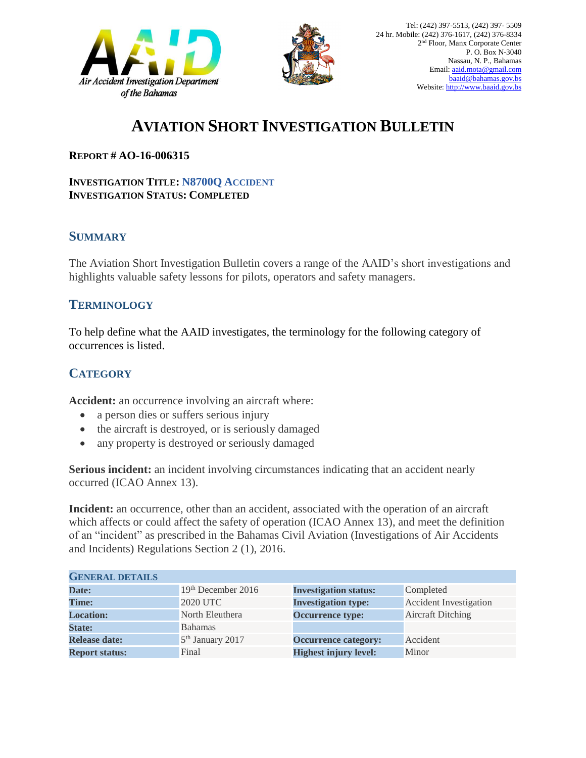



# **AVIATION SHORT INVESTIGATION BULLETIN**

#### **REPORT # AO-16-006315**

#### **INVESTIGATION TITLE: N8700Q ACCIDENT INVESTIGATION STATUS: COMPLETED**

### **SUMMARY**

The Aviation Short Investigation Bulletin covers a range of the AAID's short investigations and highlights valuable safety lessons for pilots, operators and safety managers.

### **TERMINOLOGY**

To help define what the AAID investigates, the terminology for the following category of occurrences is listed.

## **CATEGORY**

**Accident:** an occurrence involving an aircraft where:

- a person dies or suffers serious injury
- the aircraft is destroyed, or is seriously damaged
- any property is destroyed or seriously damaged

**Serious incident:** an incident involving circumstances indicating that an accident nearly occurred (ICAO Annex 13).

**Incident:** an occurrence, other than an accident, associated with the operation of an aircraft which affects or could affect the safety of operation (ICAO Annex 13), and meet the definition of an "incident" as prescribed in the Bahamas Civil Aviation (Investigations of Air Accidents and Incidents) Regulations Section 2 (1), 2016.

| <b>GENERAL DETAILS</b> |                              |                              |                               |
|------------------------|------------------------------|------------------------------|-------------------------------|
| Date:                  | $19th$ December 2016         | <b>Investigation status:</b> | Completed                     |
| <b>Time:</b>           | <b>2020 UTC</b>              | <b>Investigation type:</b>   | <b>Accident Investigation</b> |
| <b>Location:</b>       | North Eleuthera              | <b>Occurrence type:</b>      | <b>Aircraft Ditching</b>      |
| <b>State:</b>          | <b>Bahamas</b>               |                              |                               |
| <b>Release date:</b>   | 5 <sup>th</sup> January 2017 | <b>Occurrence category:</b>  | Accident                      |
| <b>Report status:</b>  | Final                        | <b>Highest injury level:</b> | Minor                         |